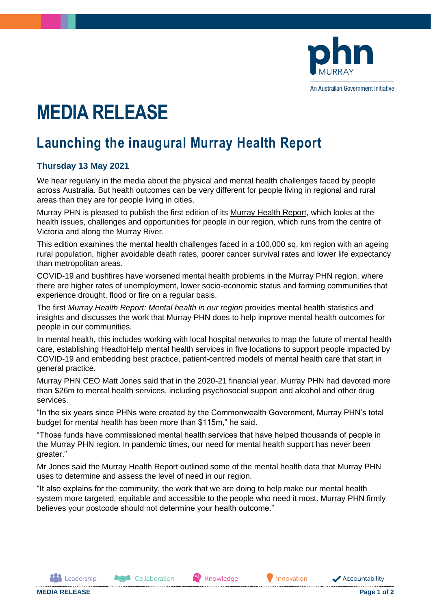

# **MEDIA RELEASE**

# **Launching the inaugural Murray Health Report**

## **Thursday 13 May 2021**

We hear regularly in the media about the physical and mental health challenges faced by people across Australia. But health outcomes can be very different for people living in regional and rural areas than they are for people living in cities.

Murray PHN is pleased to publish the first edition of its [Murray Health Report,](https://www.murrayphn.org.au/murrayhealthreport/) which looks at the health issues, challenges and opportunities for people in our region, which runs from the centre of Victoria and along the Murray River.

This edition examines the mental health challenges faced in a 100,000 sq. km region with an ageing rural population, higher avoidable death rates, poorer cancer survival rates and lower life expectancy than metropolitan areas.

COVID-19 and bushfires have worsened mental health problems in the Murray PHN region, where there are higher rates of unemployment, lower socio-economic status and farming communities that experience drought, flood or fire on a regular basis.

The first *Murray Health Report: Mental health in our region* provides mental health statistics and insights and discusses the work that Murray PHN does to help improve mental health outcomes for people in our communities.

In mental health, this includes working with local hospital networks to map the future of mental health care, establishing HeadtoHelp mental health services in five locations to support people impacted by COVID-19 and embedding best practice, patient-centred models of mental health care that start in general practice.

Murray PHN CEO Matt Jones said that in the 2020-21 financial year, Murray PHN had devoted more than \$26m to mental health services, including psychosocial support and alcohol and other drug services.

"In the six years since PHNs were created by the Commonwealth Government, Murray PHN's total budget for mental health has been more than \$115m," he said.

"Those funds have commissioned mental health services that have helped thousands of people in the Murray PHN region. In pandemic times, our need for mental health support has never been greater."

Mr Jones said the Murray Health Report outlined some of the mental health data that Murray PHN uses to determine and assess the level of need in our region.

"It also explains for the community, the work that we are doing to help make our mental health system more targeted, equitable and accessible to the people who need it most. Murray PHN firmly believes your postcode should not determine your health outcome."

**ALL** Leadership

**Asset** Collaboration